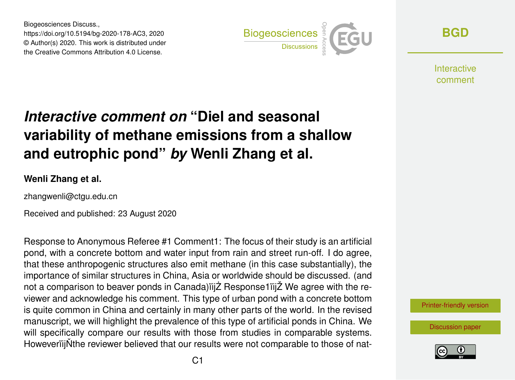Biogeosciences Discuss., https://doi.org/10.5194/bg-2020-178-AC3, 2020 © Author(s) 2020. This work is distributed under the Creative Commons Attribution 4.0 License.



**[BGD](https://bg.copernicus.org/preprints/)**

Interactive comment

## *Interactive comment on* **"Diel and seasonal variability of methane emissions from a shallow and eutrophic pond"** *by* **Wenli Zhang et al.**

## **Wenli Zhang et al.**

zhangwenli@ctgu.edu.cn

Received and published: 23 August 2020

Response to Anonymous Referee #1 Comment1: The focus of their study is an artificial pond, with a concrete bottom and water input from rain and street run-off. I do agree, that these anthropogenic structures also emit methane (in this case substantially), the importance of similar structures in China, Asia or worldwide should be discussed. (and not a comparison to beaver ponds in Canada) iij Z Response i iij Z We agree with the reviewer and acknowledge his comment. This type of urban pond with a concrete bottom is quite common in China and certainly in many other parts of the world. In the revised manuscript, we will highlight the prevalence of this type of artificial ponds in China. We will specifically compare our results with those from studies in comparable systems. HoweveriijNthe reviewer believed that our results were not comparable to those of nat-



[Discussion paper](https://bg.copernicus.org/preprints/bg-2020-178)

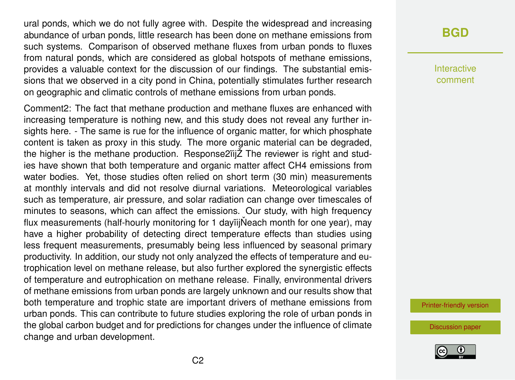ural ponds, which we do not fully agree with. Despite the widespread and increasing abundance of urban ponds, little research has been done on methane emissions from such systems. Comparison of observed methane fluxes from urban ponds to fluxes from natural ponds, which are considered as global hotspots of methane emissions, provides a valuable context for the discussion of our findings. The substantial emissions that we observed in a city pond in China, potentially stimulates further research on geographic and climatic controls of methane emissions from urban ponds.

Comment2: The fact that methane production and methane fluxes are enhanced with increasing temperature is nothing new, and this study does not reveal any further insights here. - The same is rue for the influence of organic matter, for which phosphate content is taken as proxy in this study. The more organic material can be degraded, the higher is the methane production. Response2ïijŽ The reviewer is right and studies have shown that both temperature and organic matter affect CH4 emissions from water bodies. Yet, those studies often relied on short term (30 min) measurements at monthly intervals and did not resolve diurnal variations. Meteorological variables such as temperature, air pressure, and solar radiation can change over timescales of minutes to seasons, which can affect the emissions. Our study, with high frequency flux measurements (half-hourly monitoring for 1 dayiijNeach month for one year), may have a higher probability of detecting direct temperature effects than studies using less frequent measurements, presumably being less influenced by seasonal primary productivity. In addition, our study not only analyzed the effects of temperature and eutrophication level on methane release, but also further explored the synergistic effects of temperature and eutrophication on methane release. Finally, environmental drivers of methane emissions from urban ponds are largely unknown and our results show that both temperature and trophic state are important drivers of methane emissions from urban ponds. This can contribute to future studies exploring the role of urban ponds in the global carbon budget and for predictions for changes under the influence of climate change and urban development.

## **[BGD](https://bg.copernicus.org/preprints/)**

Interactive comment

[Printer-friendly version](https://bg.copernicus.org/preprints/bg-2020-178/bg-2020-178-AC3-print.pdf)

[Discussion paper](https://bg.copernicus.org/preprints/bg-2020-178)